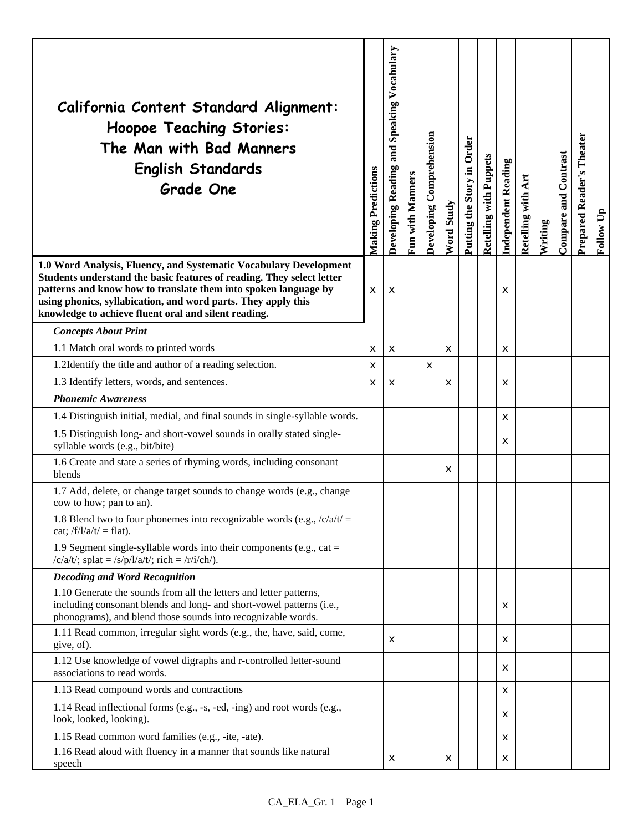| California Content Standard Alignment:<br><b>Hoopoe Teaching Stories:</b><br>The Man with Bad Manners<br><b>English Standards</b><br><b>Grade One</b>                                                                                                                                                                                  | <b>Making Predictions</b> | Developing Reading and Speaking Vocabulary | Fun with Manners | Developing Comprehension | Word Study | Putting the Story in Order | <b>Retelling with Puppets</b> | <b>Independent Reading</b> | Retelling with Art | Writing | <b>Compare and Contrast</b> | Theater<br>Prepared Reader's | Follow Up |
|----------------------------------------------------------------------------------------------------------------------------------------------------------------------------------------------------------------------------------------------------------------------------------------------------------------------------------------|---------------------------|--------------------------------------------|------------------|--------------------------|------------|----------------------------|-------------------------------|----------------------------|--------------------|---------|-----------------------------|------------------------------|-----------|
| 1.0 Word Analysis, Fluency, and Systematic Vocabulary Development<br>Students understand the basic features of reading. They select letter<br>patterns and know how to translate them into spoken language by<br>using phonics, syllabication, and word parts. They apply this<br>knowledge to achieve fluent oral and silent reading. | X                         | X                                          |                  |                          |            |                            |                               | x                          |                    |         |                             |                              |           |
| <b>Concepts About Print</b>                                                                                                                                                                                                                                                                                                            |                           |                                            |                  |                          |            |                            |                               |                            |                    |         |                             |                              |           |
| 1.1 Match oral words to printed words                                                                                                                                                                                                                                                                                                  | х                         | X                                          |                  |                          | x          |                            |                               | х                          |                    |         |                             |                              |           |
| 1.2Identify the title and author of a reading selection.                                                                                                                                                                                                                                                                               | x                         |                                            |                  | x                        |            |                            |                               |                            |                    |         |                             |                              |           |
| 1.3 Identify letters, words, and sentences.                                                                                                                                                                                                                                                                                            | x                         | X                                          |                  |                          | X          |                            |                               | X                          |                    |         |                             |                              |           |
| <b>Phonemic Awareness</b>                                                                                                                                                                                                                                                                                                              |                           |                                            |                  |                          |            |                            |                               |                            |                    |         |                             |                              |           |
| 1.4 Distinguish initial, medial, and final sounds in single-syllable words.                                                                                                                                                                                                                                                            |                           |                                            |                  |                          |            |                            |                               | X                          |                    |         |                             |                              |           |
| 1.5 Distinguish long- and short-vowel sounds in orally stated single-<br>syllable words (e.g., bit/bite)                                                                                                                                                                                                                               |                           |                                            |                  |                          |            |                            |                               | x                          |                    |         |                             |                              |           |
| 1.6 Create and state a series of rhyming words, including consonant<br>blends                                                                                                                                                                                                                                                          |                           |                                            |                  |                          | X          |                            |                               |                            |                    |         |                             |                              |           |
| 1.7 Add, delete, or change target sounds to change words (e.g., change<br>cow to how; pan to an).                                                                                                                                                                                                                                      |                           |                                            |                  |                          |            |                            |                               |                            |                    |         |                             |                              |           |
| 1.8 Blend two to four phonemes into recognizable words (e.g., $\frac{c}{a}t$ ) =<br>cat; $/f/l/a/t$ = flat).                                                                                                                                                                                                                           |                           |                                            |                  |                          |            |                            |                               |                            |                    |         |                             |                              |           |
| 1.9 Segment single-syllable words into their components (e.g., cat $=$<br>/c/a/t/; splat = /s/p/l/a/t/; rich = /r/i/ch/).                                                                                                                                                                                                              |                           |                                            |                  |                          |            |                            |                               |                            |                    |         |                             |                              |           |
| <b>Decoding and Word Recognition</b>                                                                                                                                                                                                                                                                                                   |                           |                                            |                  |                          |            |                            |                               |                            |                    |         |                             |                              |           |
| 1.10 Generate the sounds from all the letters and letter patterns,<br>including consonant blends and long- and short-vowel patterns (i.e.,<br>phonograms), and blend those sounds into recognizable words.                                                                                                                             |                           |                                            |                  |                          |            |                            |                               | X                          |                    |         |                             |                              |           |
| 1.11 Read common, irregular sight words (e.g., the, have, said, come,<br>give, of).                                                                                                                                                                                                                                                    |                           | X                                          |                  |                          |            |                            |                               | x                          |                    |         |                             |                              |           |
| 1.12 Use knowledge of vowel digraphs and r-controlled letter-sound<br>associations to read words.                                                                                                                                                                                                                                      |                           |                                            |                  |                          |            |                            |                               | x                          |                    |         |                             |                              |           |
| 1.13 Read compound words and contractions                                                                                                                                                                                                                                                                                              |                           |                                            |                  |                          |            |                            |                               | X                          |                    |         |                             |                              |           |
| 1.14 Read inflectional forms (e.g., -s, -ed, -ing) and root words (e.g.,<br>look, looked, looking).                                                                                                                                                                                                                                    |                           |                                            |                  |                          |            |                            |                               | х                          |                    |         |                             |                              |           |
| 1.15 Read common word families (e.g., -ite, -ate).                                                                                                                                                                                                                                                                                     |                           |                                            |                  |                          |            |                            |                               | х                          |                    |         |                             |                              |           |
| 1.16 Read aloud with fluency in a manner that sounds like natural<br>speech                                                                                                                                                                                                                                                            |                           | X                                          |                  |                          | x          |                            |                               | х                          |                    |         |                             |                              |           |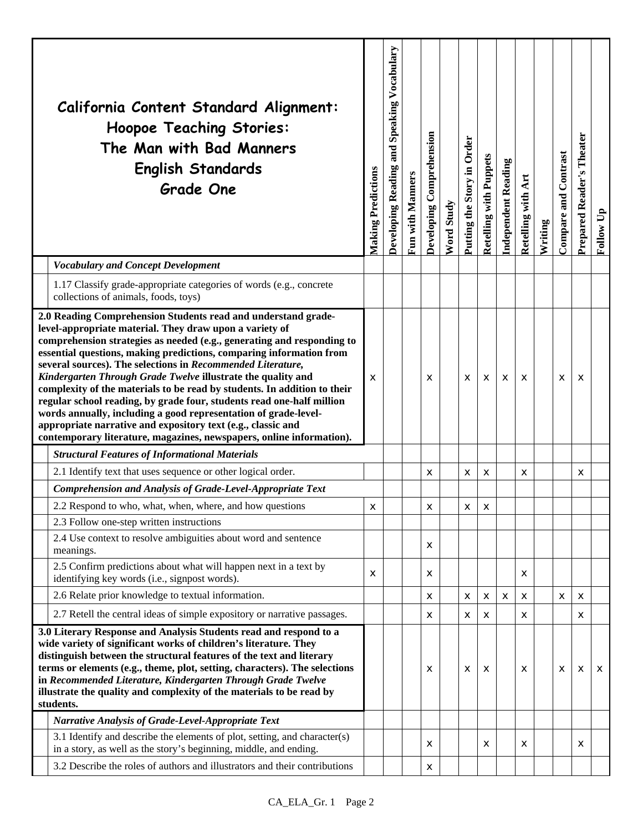|                                                                                                                                                                                                                                                                                                                                                                                                                                                                                                                                                                                                                                                                                                                                                                          | California Content Standard Alignment:<br><b>Hoopoe Teaching Stories:</b><br>The Man with Bad Manners<br><b>English Standards</b><br><b>Grade One</b> | <b>Making Predictions</b> | Developing Reading and Speaking Vocabulary | Fun with Manners | Developing Comprehension | Word Study | Putting the Story in Order | <b>Retelling with Puppets</b> | <b>Independent Reading</b> | Retelling with Art | Writing | <b>Compare and Contrast</b> | Theater<br>Prepared Reader's | Follow Up |
|--------------------------------------------------------------------------------------------------------------------------------------------------------------------------------------------------------------------------------------------------------------------------------------------------------------------------------------------------------------------------------------------------------------------------------------------------------------------------------------------------------------------------------------------------------------------------------------------------------------------------------------------------------------------------------------------------------------------------------------------------------------------------|-------------------------------------------------------------------------------------------------------------------------------------------------------|---------------------------|--------------------------------------------|------------------|--------------------------|------------|----------------------------|-------------------------------|----------------------------|--------------------|---------|-----------------------------|------------------------------|-----------|
|                                                                                                                                                                                                                                                                                                                                                                                                                                                                                                                                                                                                                                                                                                                                                                          | <b>Vocabulary and Concept Development</b>                                                                                                             |                           |                                            |                  |                          |            |                            |                               |                            |                    |         |                             |                              |           |
|                                                                                                                                                                                                                                                                                                                                                                                                                                                                                                                                                                                                                                                                                                                                                                          | 1.17 Classify grade-appropriate categories of words (e.g., concrete<br>collections of animals, foods, toys)                                           |                           |                                            |                  |                          |            |                            |                               |                            |                    |         |                             |                              |           |
| 2.0 Reading Comprehension Students read and understand grade-<br>level-appropriate material. They draw upon a variety of<br>comprehension strategies as needed (e.g., generating and responding to<br>essential questions, making predictions, comparing information from<br>several sources). The selections in Recommended Literature,<br>Kindergarten Through Grade Twelve illustrate the quality and<br>complexity of the materials to be read by students. In addition to their<br>regular school reading, by grade four, students read one-half million<br>words annually, including a good representation of grade-level-<br>appropriate narrative and expository text (e.g., classic and<br>contemporary literature, magazines, newspapers, online information). |                                                                                                                                                       | X                         |                                            |                  | X                        |            | X                          | X                             | X                          | x                  |         | X                           | X                            |           |
|                                                                                                                                                                                                                                                                                                                                                                                                                                                                                                                                                                                                                                                                                                                                                                          | <b>Structural Features of Informational Materials</b>                                                                                                 |                           |                                            |                  |                          |            |                            |                               |                            |                    |         |                             |                              |           |
|                                                                                                                                                                                                                                                                                                                                                                                                                                                                                                                                                                                                                                                                                                                                                                          | 2.1 Identify text that uses sequence or other logical order.                                                                                          |                           |                                            |                  | X                        |            | х                          | X                             |                            | X                  |         |                             | X                            |           |
|                                                                                                                                                                                                                                                                                                                                                                                                                                                                                                                                                                                                                                                                                                                                                                          | Comprehension and Analysis of Grade-Level-Appropriate Text                                                                                            |                           |                                            |                  |                          |            |                            |                               |                            |                    |         |                             |                              |           |
|                                                                                                                                                                                                                                                                                                                                                                                                                                                                                                                                                                                                                                                                                                                                                                          | 2.2 Respond to who, what, when, where, and how questions                                                                                              | X                         |                                            |                  | $\mathsf{x}$             |            | $\mathsf{x}$               | X                             |                            |                    |         |                             |                              |           |
|                                                                                                                                                                                                                                                                                                                                                                                                                                                                                                                                                                                                                                                                                                                                                                          | 2.3 Follow one-step written instructions                                                                                                              |                           |                                            |                  |                          |            |                            |                               |                            |                    |         |                             |                              |           |
|                                                                                                                                                                                                                                                                                                                                                                                                                                                                                                                                                                                                                                                                                                                                                                          | 2.4 Use context to resolve ambiguities about word and sentence<br>meanings.                                                                           |                           |                                            |                  | X                        |            |                            |                               |                            |                    |         |                             |                              |           |
|                                                                                                                                                                                                                                                                                                                                                                                                                                                                                                                                                                                                                                                                                                                                                                          | 2.5 Confirm predictions about what will happen next in a text by<br>identifying key words (i.e., signpost words).                                     | X                         |                                            |                  | X                        |            |                            |                               |                            | X                  |         |                             |                              |           |
|                                                                                                                                                                                                                                                                                                                                                                                                                                                                                                                                                                                                                                                                                                                                                                          | 2.6 Relate prior knowledge to textual information.                                                                                                    |                           |                                            |                  | X                        |            | X                          | X                             | X                          | X                  |         | X                           | X                            |           |
|                                                                                                                                                                                                                                                                                                                                                                                                                                                                                                                                                                                                                                                                                                                                                                          | 2.7 Retell the central ideas of simple expository or narrative passages.                                                                              |                           |                                            |                  | X                        |            | х                          | х                             |                            | X                  |         |                             | x                            |           |
| 3.0 Literary Response and Analysis Students read and respond to a<br>wide variety of significant works of children's literature. They<br>distinguish between the structural features of the text and literary<br>terms or elements (e.g., theme, plot, setting, characters). The selections<br>in Recommended Literature, Kindergarten Through Grade Twelve<br>illustrate the quality and complexity of the materials to be read by<br>students.                                                                                                                                                                                                                                                                                                                         |                                                                                                                                                       |                           |                                            |                  | х                        |            | X                          | х                             |                            | х                  |         | X                           | х                            | x         |
|                                                                                                                                                                                                                                                                                                                                                                                                                                                                                                                                                                                                                                                                                                                                                                          | <b>Narrative Analysis of Grade-Level-Appropriate Text</b>                                                                                             |                           |                                            |                  |                          |            |                            |                               |                            |                    |         |                             |                              |           |
|                                                                                                                                                                                                                                                                                                                                                                                                                                                                                                                                                                                                                                                                                                                                                                          | 3.1 Identify and describe the elements of plot, setting, and character(s)<br>in a story, as well as the story's beginning, middle, and ending.        |                           |                                            |                  | X                        |            |                            | X                             |                            | X                  |         |                             | x                            |           |
|                                                                                                                                                                                                                                                                                                                                                                                                                                                                                                                                                                                                                                                                                                                                                                          | 3.2 Describe the roles of authors and illustrators and their contributions                                                                            |                           |                                            |                  | X                        |            |                            |                               |                            |                    |         |                             |                              |           |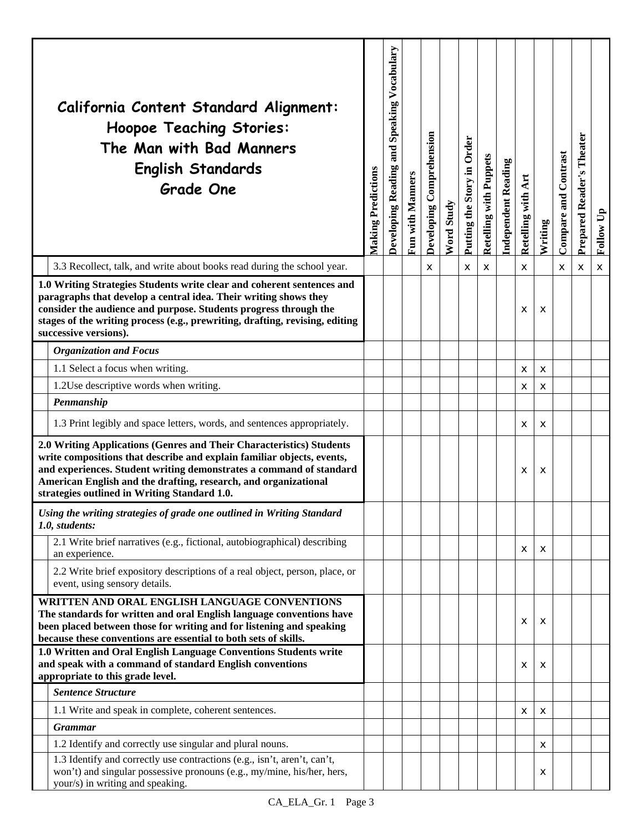| California Content Standard Alignment:<br>Hoopoe Teaching Stories:<br>The Man with Bad Manners<br><b>English Standards</b><br><b>Grade One</b>                                                                                                                                                                                           | <b>Making Predictions</b> | Developing Reading and Speaking Vocabulary | Fun with Manners | Developing Comprehension | Word Study | Putting the Story in Order | Retelling with Puppets | <b>Independent Reading</b> | Retelling with Art | Writing | Compare and Contrast | Theater<br><b>Prepared Reader's</b> | Follow Up |
|------------------------------------------------------------------------------------------------------------------------------------------------------------------------------------------------------------------------------------------------------------------------------------------------------------------------------------------|---------------------------|--------------------------------------------|------------------|--------------------------|------------|----------------------------|------------------------|----------------------------|--------------------|---------|----------------------|-------------------------------------|-----------|
| 3.3 Recollect, talk, and write about books read during the school year.                                                                                                                                                                                                                                                                  |                           |                                            |                  | X                        |            | X                          | $\pmb{\times}$         |                            | X                  |         | X                    | х                                   | X         |
| 1.0 Writing Strategies Students write clear and coherent sentences and<br>paragraphs that develop a central idea. Their writing shows they<br>consider the audience and purpose. Students progress through the<br>stages of the writing process (e.g., prewriting, drafting, revising, editing<br>successive versions).                  |                           |                                            |                  |                          |            |                            |                        |                            | x                  | х       |                      |                                     |           |
| <b>Organization and Focus</b>                                                                                                                                                                                                                                                                                                            |                           |                                            |                  |                          |            |                            |                        |                            |                    |         |                      |                                     |           |
| 1.1 Select a focus when writing.                                                                                                                                                                                                                                                                                                         |                           |                                            |                  |                          |            |                            |                        |                            | X                  | X       |                      |                                     |           |
| 1.2Use descriptive words when writing.                                                                                                                                                                                                                                                                                                   |                           |                                            |                  |                          |            |                            |                        |                            | X                  | X       |                      |                                     |           |
| Penmanship                                                                                                                                                                                                                                                                                                                               |                           |                                            |                  |                          |            |                            |                        |                            |                    |         |                      |                                     |           |
| 1.3 Print legibly and space letters, words, and sentences appropriately.                                                                                                                                                                                                                                                                 |                           |                                            |                  |                          |            |                            |                        |                            | X                  | X       |                      |                                     |           |
| 2.0 Writing Applications (Genres and Their Characteristics) Students<br>write compositions that describe and explain familiar objects, events,<br>and experiences. Student writing demonstrates a command of standard<br>American English and the drafting, research, and organizational<br>strategies outlined in Writing Standard 1.0. |                           |                                            |                  |                          |            |                            |                        |                            | x                  | х       |                      |                                     |           |
| Using the writing strategies of grade one outlined in Writing Standard<br>1.0, students:                                                                                                                                                                                                                                                 |                           |                                            |                  |                          |            |                            |                        |                            |                    |         |                      |                                     |           |
| 2.1 Write brief narratives (e.g., fictional, autobiographical) describing<br>an experience.                                                                                                                                                                                                                                              |                           |                                            |                  |                          |            |                            |                        |                            | $\mathsf{x}$       | X       |                      |                                     |           |
| 2.2 Write brief expository descriptions of a real object, person, place, or<br>event, using sensory details.                                                                                                                                                                                                                             |                           |                                            |                  |                          |            |                            |                        |                            |                    |         |                      |                                     |           |
| WRITTEN AND ORAL ENGLISH LANGUAGE CONVENTIONS<br>The standards for written and oral English language conventions have<br>been placed between those for writing and for listening and speaking<br>because these conventions are essential to both sets of skills.                                                                         |                           |                                            |                  |                          |            |                            |                        |                            | x                  | x       |                      |                                     |           |
| 1.0 Written and Oral English Language Conventions Students write<br>and speak with a command of standard English conventions<br>appropriate to this grade level.                                                                                                                                                                         |                           |                                            |                  |                          |            |                            |                        |                            | x                  | x       |                      |                                     |           |
| <b>Sentence Structure</b>                                                                                                                                                                                                                                                                                                                |                           |                                            |                  |                          |            |                            |                        |                            |                    |         |                      |                                     |           |
| 1.1 Write and speak in complete, coherent sentences.                                                                                                                                                                                                                                                                                     |                           |                                            |                  |                          |            |                            |                        |                            | x                  | X       |                      |                                     |           |
| <b>Grammar</b>                                                                                                                                                                                                                                                                                                                           |                           |                                            |                  |                          |            |                            |                        |                            |                    |         |                      |                                     |           |
| 1.2 Identify and correctly use singular and plural nouns.                                                                                                                                                                                                                                                                                |                           |                                            |                  |                          |            |                            |                        |                            |                    | X       |                      |                                     |           |
| 1.3 Identify and correctly use contractions (e.g., isn't, aren't, can't,<br>won't) and singular possessive pronouns (e.g., my/mine, his/her, hers,<br>your/s) in writing and speaking.                                                                                                                                                   |                           |                                            |                  |                          |            |                            |                        |                            |                    | x       |                      |                                     |           |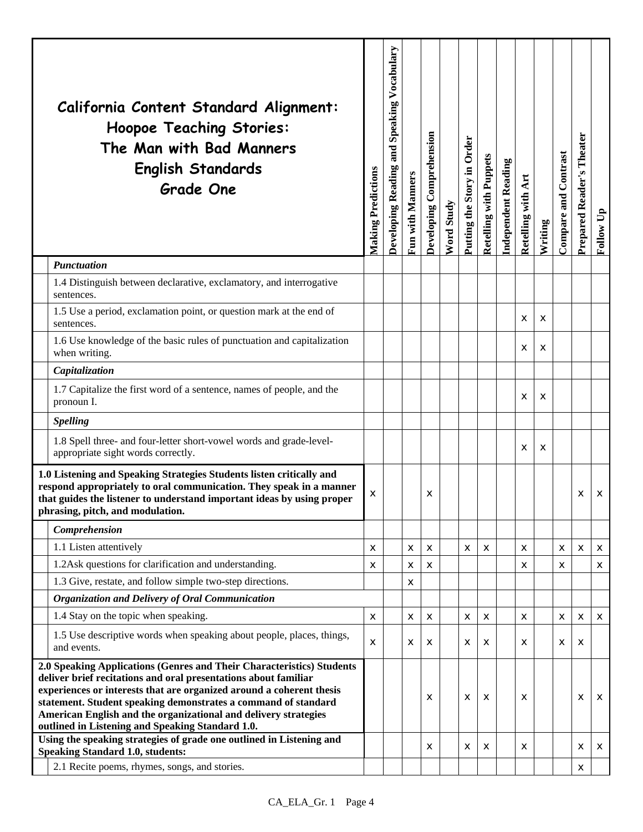|                                                                                                                                                                                                                                                                                                                                                                                                           | California Content Standard Alignment:<br><b>Hoopoe Teaching Stories:</b><br>The Man with Bad Manners<br><b>English Standards</b><br><b>Grade One</b> | <b>Making Predictions</b> | Developing Reading and Speaking Vocabulary | Fun with Manners | Developing Comprehension | Word Study | Putting the Story in Order | Retelling with Puppets | <b>Independent Reading</b> | Retelling with Art | Writing | Compare and Contrast | Theater<br>Prepared Reader's | Follow Up |
|-----------------------------------------------------------------------------------------------------------------------------------------------------------------------------------------------------------------------------------------------------------------------------------------------------------------------------------------------------------------------------------------------------------|-------------------------------------------------------------------------------------------------------------------------------------------------------|---------------------------|--------------------------------------------|------------------|--------------------------|------------|----------------------------|------------------------|----------------------------|--------------------|---------|----------------------|------------------------------|-----------|
|                                                                                                                                                                                                                                                                                                                                                                                                           | <b>Punctuation</b>                                                                                                                                    |                           |                                            |                  |                          |            |                            |                        |                            |                    |         |                      |                              |           |
|                                                                                                                                                                                                                                                                                                                                                                                                           | 1.4 Distinguish between declarative, exclamatory, and interrogative<br>sentences.                                                                     |                           |                                            |                  |                          |            |                            |                        |                            |                    |         |                      |                              |           |
|                                                                                                                                                                                                                                                                                                                                                                                                           | 1.5 Use a period, exclamation point, or question mark at the end of<br>sentences.                                                                     |                           |                                            |                  |                          |            |                            |                        |                            | X                  | X       |                      |                              |           |
|                                                                                                                                                                                                                                                                                                                                                                                                           | 1.6 Use knowledge of the basic rules of punctuation and capitalization<br>when writing.                                                               |                           |                                            |                  |                          |            |                            |                        |                            | X                  | X       |                      |                              |           |
|                                                                                                                                                                                                                                                                                                                                                                                                           | Capitalization                                                                                                                                        |                           |                                            |                  |                          |            |                            |                        |                            |                    |         |                      |                              |           |
|                                                                                                                                                                                                                                                                                                                                                                                                           | 1.7 Capitalize the first word of a sentence, names of people, and the<br>pronoun I.                                                                   |                           |                                            |                  |                          |            |                            |                        |                            | X                  | X       |                      |                              |           |
|                                                                                                                                                                                                                                                                                                                                                                                                           | <b>Spelling</b>                                                                                                                                       |                           |                                            |                  |                          |            |                            |                        |                            |                    |         |                      |                              |           |
|                                                                                                                                                                                                                                                                                                                                                                                                           | 1.8 Spell three- and four-letter short-vowel words and grade-level-<br>appropriate sight words correctly.                                             |                           |                                            |                  |                          |            |                            |                        |                            | х                  | х       |                      |                              |           |
| 1.0 Listening and Speaking Strategies Students listen critically and<br>respond appropriately to oral communication. They speak in a manner<br>that guides the listener to understand important ideas by using proper<br>phrasing, pitch, and modulation.                                                                                                                                                 |                                                                                                                                                       | x                         |                                            |                  | х                        |            |                            |                        |                            |                    |         |                      | х                            | х         |
|                                                                                                                                                                                                                                                                                                                                                                                                           | Comprehension                                                                                                                                         |                           |                                            |                  |                          |            |                            |                        |                            |                    |         |                      |                              |           |
|                                                                                                                                                                                                                                                                                                                                                                                                           | 1.1 Listen attentively                                                                                                                                | x                         |                                            | X                | x                        |            | x                          | х                      |                            | x                  |         | х                    | х                            | x         |
|                                                                                                                                                                                                                                                                                                                                                                                                           | 1.2Ask questions for clarification and understanding.                                                                                                 | X                         |                                            | X                | x                        |            |                            |                        |                            | x                  |         | х                    |                              | x         |
|                                                                                                                                                                                                                                                                                                                                                                                                           | 1.3 Give, restate, and follow simple two-step directions.                                                                                             |                           |                                            | X                |                          |            |                            |                        |                            |                    |         |                      |                              |           |
|                                                                                                                                                                                                                                                                                                                                                                                                           | Organization and Delivery of Oral Communication                                                                                                       |                           |                                            |                  |                          |            |                            |                        |                            |                    |         |                      |                              |           |
|                                                                                                                                                                                                                                                                                                                                                                                                           | 1.4 Stay on the topic when speaking.                                                                                                                  | x                         |                                            | X                | x                        |            | X                          | x                      |                            | x                  |         | x                    | X                            | x         |
|                                                                                                                                                                                                                                                                                                                                                                                                           | 1.5 Use descriptive words when speaking about people, places, things,<br>and events.                                                                  | X                         |                                            | X                | x                        |            | X                          | х                      |                            | x                  |         | X                    | х                            |           |
| 2.0 Speaking Applications (Genres and Their Characteristics) Students<br>deliver brief recitations and oral presentations about familiar<br>experiences or interests that are organized around a coherent thesis<br>statement. Student speaking demonstrates a command of standard<br>American English and the organizational and delivery strategies<br>outlined in Listening and Speaking Standard 1.0. |                                                                                                                                                       |                           |                                            |                  | x                        |            | $\boldsymbol{\mathsf{x}}$  | х                      |                            | X                  |         |                      | x                            | X         |
|                                                                                                                                                                                                                                                                                                                                                                                                           | Using the speaking strategies of grade one outlined in Listening and                                                                                  |                           |                                            |                  | x                        |            | X                          | X                      |                            | X                  |         |                      | x                            | x         |
|                                                                                                                                                                                                                                                                                                                                                                                                           | <b>Speaking Standard 1.0, students:</b><br>2.1 Recite poems, rhymes, songs, and stories.                                                              |                           |                                            |                  |                          |            |                            |                        |                            |                    |         |                      | х                            |           |